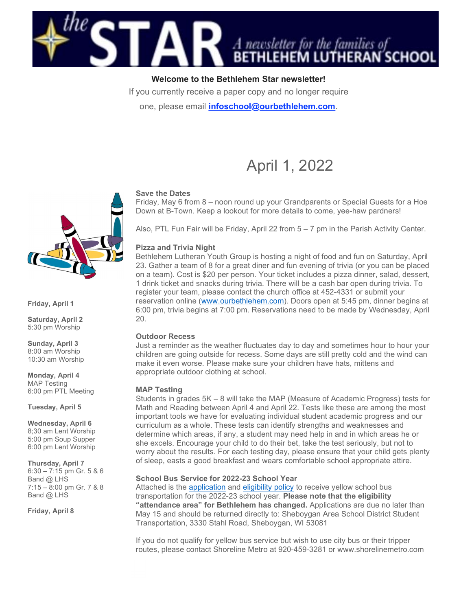

# Welcome to the Bethlehem Star newsletter!

If you currently receive a paper copy and no longer require

one, please email *infoschool@ourbethlehem.com*.

# April 1, 2022

## Save the Dates

Friday, May 6 from 8 – noon round up your Grandparents or Special Guests for a Hoe Down at B-Town. Keep a lookout for more details to come, yee-haw pardners!

Also, PTL Fun Fair will be Friday, April 22 from 5 – 7 pm in the Parish Activity Center.

#### Pizza and Trivia Night

Bethlehem Lutheran Youth Group is hosting a night of food and fun on Saturday, April 23. Gather a team of 8 for a great diner and fun evening of trivia (or you can be placed on a team). Cost is \$20 per person. Your ticket includes a pizza dinner, salad, dessert, 1 drink ticket and snacks during trivia. There will be a cash bar open during trivia. To register your team, please contact the church office at 452-4331 or submit your reservation online (www.ourbethlehem.com). Doors open at 5:45 pm, dinner begins at 6:00 pm, trivia begins at 7:00 pm. Reservations need to be made by Wednesday, April 20.

## Outdoor Recess

Just a reminder as the weather fluctuates day to day and sometimes hour to hour your children are going outside for recess. Some days are still pretty cold and the wind can make it even worse. Please make sure your children have hats, mittens and appropriate outdoor clothing at school.

## MAP Testing

Students in grades 5K – 8 will take the MAP (Measure of Academic Progress) tests for Math and Reading between April 4 and April 22. Tests like these are among the most important tools we have for evaluating individual student academic progress and our curriculum as a whole. These tests can identify strengths and weaknesses and determine which areas, if any, a student may need help in and in which areas he or she excels. Encourage your child to do their bet, take the test seriously, but not to worry about the results. For each testing day, please ensure that your child gets plenty of sleep, easts a good breakfast and wears comfortable school appropriate attire.

#### School Bus Service for 2022-23 School Year

Attached is the application and eligibility policy to receive yellow school bus transportation for the 2022-23 school year. Please note that the eligibility "attendance area" for Bethlehem has changed. Applications are due no later than May 15 and should be returned directly to: Sheboygan Area School District Student Transportation, 3330 Stahl Road, Sheboygan, WI 53081

If you do not qualify for yellow bus service but wish to use city bus or their tripper routes, please contact Shoreline Metro at 920-459-3281 or www.shorelinemetro.com



Friday, April 1

Saturday, April 2 5:30 pm Worship

Sunday, April 3 8:00 am Worship 10:30 am Worship

Monday, April 4 MAP Testing 6:00 pm PTL Meeting

Tuesday, April 5

Wednesday, April 6 8;30 am Lent Worship 5:00 pm Soup Supper 6:00 pm Lent Worship

Thursday, April 7

6:30 – 7:15 pm Gr. 5 & 6 Band @ LHS 7:15 – 8:00 pm Gr. 7 & 8 Band @ LHS

Friday, April 8